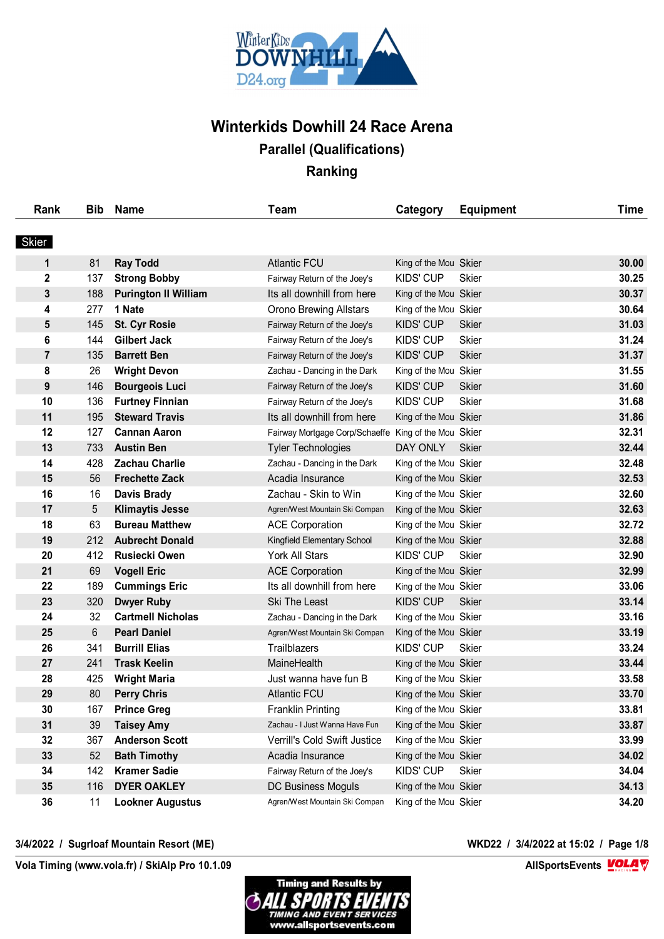

| Rank           | <b>Bib</b> | <b>Name</b>                 | <b>Team</b>                                          | Category              | <b>Equipment</b> | <b>Time</b> |
|----------------|------------|-----------------------------|------------------------------------------------------|-----------------------|------------------|-------------|
| Skier          |            |                             |                                                      |                       |                  |             |
| 1              | 81         | <b>Ray Todd</b>             | <b>Atlantic FCU</b>                                  | King of the Mou Skier |                  | 30.00       |
| 2              | 137        | <b>Strong Bobby</b>         | Fairway Return of the Joey's                         | <b>KIDS' CUP</b>      | Skier            | 30.25       |
| 3              | 188        | <b>Purington II William</b> | Its all downhill from here                           | King of the Mou Skier |                  | 30.37       |
| 4              | 277        | 1 Nate                      | <b>Orono Brewing Allstars</b>                        | King of the Mou Skier |                  | 30.64       |
| 5              | 145        | <b>St. Cyr Rosie</b>        | Fairway Return of the Joey's                         | <b>KIDS' CUP</b>      | <b>Skier</b>     | 31.03       |
| 6              | 144        | <b>Gilbert Jack</b>         | Fairway Return of the Joey's                         | <b>KIDS' CUP</b>      | Skier            | 31.24       |
| $\overline{7}$ | 135        | <b>Barrett Ben</b>          | Fairway Return of the Joey's                         | <b>KIDS' CUP</b>      | Skier            | 31.37       |
| 8              | 26         | <b>Wright Devon</b>         | Zachau - Dancing in the Dark                         | King of the Mou Skier |                  | 31.55       |
| 9              | 146        | <b>Bourgeois Luci</b>       | Fairway Return of the Joey's                         | <b>KIDS' CUP</b>      | <b>Skier</b>     | 31.60       |
| 10             | 136        | <b>Furtney Finnian</b>      | Fairway Return of the Joey's                         | <b>KIDS' CUP</b>      | <b>Skier</b>     | 31.68       |
| 11             | 195        | <b>Steward Travis</b>       | Its all downhill from here                           | King of the Mou Skier |                  | 31.86       |
| 12             | 127        | <b>Cannan Aaron</b>         | Fairway Mortgage Corp/Schaeffe King of the Mou Skier |                       |                  | 32.31       |
| 13             | 733        | <b>Austin Ben</b>           | <b>Tyler Technologies</b>                            | DAY ONLY              | <b>Skier</b>     | 32.44       |
| 14             | 428        | <b>Zachau Charlie</b>       | Zachau - Dancing in the Dark                         | King of the Mou Skier |                  | 32.48       |
| 15             | 56         | <b>Frechette Zack</b>       | Acadia Insurance                                     | King of the Mou Skier |                  | 32.53       |
| 16             | 16         | <b>Davis Brady</b>          | Zachau - Skin to Win                                 | King of the Mou Skier |                  | 32.60       |
| 17             | 5          | <b>Klimaytis Jesse</b>      | Agren/West Mountain Ski Compan                       | King of the Mou Skier |                  | 32.63       |
| 18             | 63         | <b>Bureau Matthew</b>       | <b>ACE Corporation</b>                               | King of the Mou Skier |                  | 32.72       |
| 19             | 212        | <b>Aubrecht Donald</b>      | Kingfield Elementary School                          | King of the Mou Skier |                  | 32.88       |
| 20             | 412        | <b>Rusiecki Owen</b>        | <b>York All Stars</b>                                | <b>KIDS' CUP</b>      | <b>Skier</b>     | 32.90       |
| 21             | 69         | <b>Vogell Eric</b>          | <b>ACE Corporation</b>                               | King of the Mou Skier |                  | 32.99       |
| 22             | 189        | <b>Cummings Eric</b>        | Its all downhill from here                           | King of the Mou Skier |                  | 33.06       |
| 23             | 320        | <b>Dwyer Ruby</b>           | Ski The Least                                        | <b>KIDS' CUP</b>      | <b>Skier</b>     | 33.14       |
| 24             | 32         | <b>Cartmell Nicholas</b>    | Zachau - Dancing in the Dark                         | King of the Mou Skier |                  | 33.16       |
| 25             | 6          | <b>Pearl Daniel</b>         | Agren/West Mountain Ski Compan                       | King of the Mou Skier |                  | 33.19       |
| 26             | 341        | <b>Burrill Elias</b>        | Trailblazers                                         | <b>KIDS' CUP</b>      | <b>Skier</b>     | 33.24       |
| 27             | 241        | <b>Trask Keelin</b>         | MaineHealth                                          | King of the Mou Skier |                  | 33.44       |
| 28             | 425        | <b>Wright Maria</b>         | Just wanna have fun B                                | King of the Mou Skier |                  | 33.58       |
| 29             | 80         | <b>Perry Chris</b>          | <b>Atlantic FCU</b>                                  | King of the Mou Skier |                  | 33.70       |
| 30             | 167        | <b>Prince Greg</b>          | <b>Franklin Printing</b>                             | King of the Mou Skier |                  | 33.81       |
| 31             | 39         | <b>Taisey Amy</b>           | Zachau - I Just Wanna Have Fun                       | King of the Mou Skier |                  | 33.87       |
| 32             | 367        | <b>Anderson Scott</b>       | Verrill's Cold Swift Justice                         | King of the Mou Skier |                  | 33.99       |
| 33             | 52         | <b>Bath Timothy</b>         | Acadia Insurance                                     | King of the Mou Skier |                  | 34.02       |
| 34             | 142        | <b>Kramer Sadie</b>         | Fairway Return of the Joey's                         | KIDS' CUP             | <b>Skier</b>     | 34.04       |
| 35             | 116        | <b>DYER OAKLEY</b>          | DC Business Moguls                                   | King of the Mou Skier |                  | 34.13       |
| 36             | 11         | <b>Lookner Augustus</b>     | Agren/West Mountain Ski Compan                       | King of the Mou Skier |                  | 34.20       |

## **3/4/2022 / Sugrloaf Mountain Resort (ME) WKD22 / 3/4/2022 at 15:02 / Page 1/8**

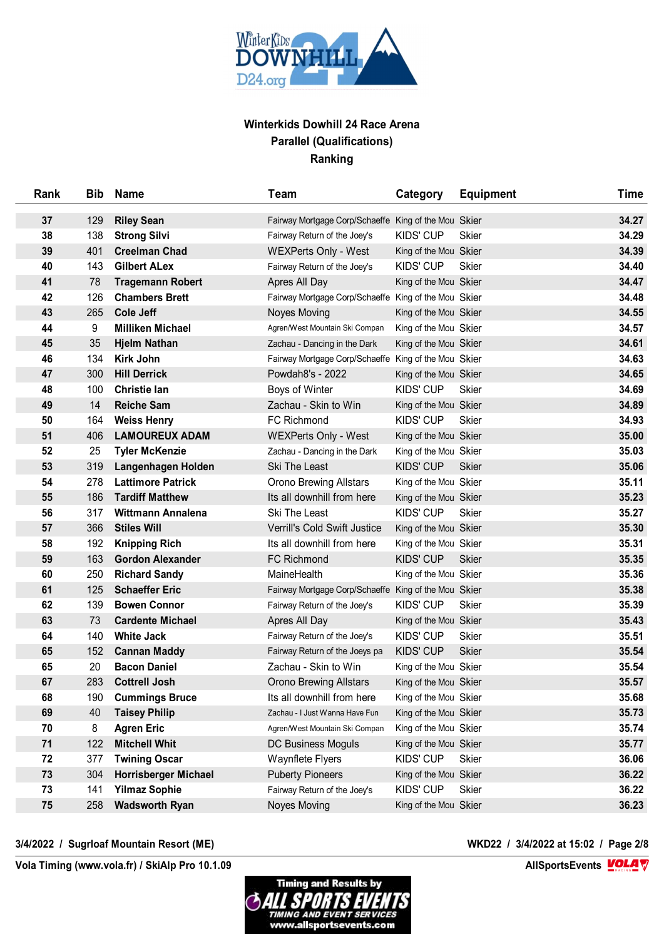

| Rank | Bib | Name                        | Team                                                 | Category              | <b>Equipment</b> | <b>Time</b> |
|------|-----|-----------------------------|------------------------------------------------------|-----------------------|------------------|-------------|
| 37   | 129 | <b>Riley Sean</b>           | Fairway Mortgage Corp/Schaeffe King of the Mou Skier |                       |                  | 34.27       |
| 38   | 138 | <b>Strong Silvi</b>         | Fairway Return of the Joey's                         | <b>KIDS' CUP</b>      | <b>Skier</b>     | 34.29       |
| 39   | 401 | <b>Creelman Chad</b>        | <b>WEXPerts Only - West</b>                          | King of the Mou Skier |                  | 34.39       |
| 40   | 143 | <b>Gilbert ALex</b>         | Fairway Return of the Joey's                         | <b>KIDS' CUP</b>      | <b>Skier</b>     | 34.40       |
| 41   | 78  | <b>Tragemann Robert</b>     | Apres All Day                                        | King of the Mou Skier |                  | 34.47       |
| 42   | 126 | <b>Chambers Brett</b>       | Fairway Mortgage Corp/Schaeffe King of the Mou Skier |                       |                  | 34.48       |
| 43   | 265 | <b>Cole Jeff</b>            | <b>Noyes Moving</b>                                  | King of the Mou Skier |                  | 34.55       |
| 44   | 9   | <b>Milliken Michael</b>     | Agren/West Mountain Ski Compan                       | King of the Mou Skier |                  | 34.57       |
| 45   | 35  | <b>Hjelm Nathan</b>         | Zachau - Dancing in the Dark                         | King of the Mou Skier |                  | 34.61       |
| 46   | 134 | Kirk John                   | Fairway Mortgage Corp/Schaeffe King of the Mou Skier |                       |                  | 34.63       |
| 47   | 300 | <b>Hill Derrick</b>         | Powdah8's - 2022                                     | King of the Mou Skier |                  | 34.65       |
| 48   | 100 | <b>Christie lan</b>         | Boys of Winter                                       | <b>KIDS' CUP</b>      | <b>Skier</b>     | 34.69       |
| 49   | 14  | <b>Reiche Sam</b>           | Zachau - Skin to Win                                 | King of the Mou Skier |                  | 34.89       |
| 50   | 164 | <b>Weiss Henry</b>          | <b>FC Richmond</b>                                   | <b>KIDS' CUP</b>      | <b>Skier</b>     | 34.93       |
| 51   | 406 | <b>LAMOUREUX ADAM</b>       | <b>WEXPerts Only - West</b>                          | King of the Mou Skier |                  | 35.00       |
| 52   | 25  | <b>Tyler McKenzie</b>       | Zachau - Dancing in the Dark                         | King of the Mou Skier |                  | 35.03       |
| 53   | 319 | Langenhagen Holden          | Ski The Least                                        | <b>KIDS' CUP</b>      | <b>Skier</b>     | 35.06       |
| 54   | 278 | <b>Lattimore Patrick</b>    | <b>Orono Brewing Allstars</b>                        | King of the Mou Skier |                  | 35.11       |
| 55   | 186 | <b>Tardiff Matthew</b>      | Its all downhill from here                           | King of the Mou Skier |                  | 35.23       |
| 56   | 317 | Wittmann Annalena           | Ski The Least                                        | <b>KIDS' CUP</b>      | <b>Skier</b>     | 35.27       |
| 57   | 366 | <b>Stiles Will</b>          | Verrill's Cold Swift Justice                         | King of the Mou Skier |                  | 35.30       |
| 58   | 192 | <b>Knipping Rich</b>        | Its all downhill from here                           | King of the Mou Skier |                  | 35.31       |
| 59   | 163 | <b>Gordon Alexander</b>     | FC Richmond                                          | <b>KIDS' CUP</b>      | <b>Skier</b>     | 35.35       |
| 60   | 250 | <b>Richard Sandy</b>        | MaineHealth                                          | King of the Mou Skier |                  | 35.36       |
| 61   | 125 | <b>Schaeffer Eric</b>       | Fairway Mortgage Corp/Schaeffe King of the Mou Skier |                       |                  | 35.38       |
| 62   | 139 | <b>Bowen Connor</b>         | Fairway Return of the Joey's                         | <b>KIDS' CUP</b>      | <b>Skier</b>     | 35.39       |
| 63   | 73  | <b>Cardente Michael</b>     | Apres All Day                                        | King of the Mou Skier |                  | 35.43       |
| 64   | 140 | <b>White Jack</b>           | Fairway Return of the Joey's                         | <b>KIDS' CUP</b>      | <b>Skier</b>     | 35.51       |
| 65   | 152 | <b>Cannan Maddy</b>         | Fairway Return of the Joeys pa                       | <b>KIDS' CUP</b>      | <b>Skier</b>     | 35.54       |
| 65   | 20  | <b>Bacon Daniel</b>         | Zachau - Skin to Win                                 | King of the Mou Skier |                  | 35.54       |
| 67   | 283 | <b>Cottrell Josh</b>        | <b>Orono Brewing Allstars</b>                        | King of the Mou Skier |                  | 35.57       |
| 68   | 190 | <b>Cummings Bruce</b>       | Its all downhill from here                           | King of the Mou Skier |                  | 35.68       |
| 69   | 40  | <b>Taisey Philip</b>        | Zachau - I Just Wanna Have Fun                       | King of the Mou Skier |                  | 35.73       |
| 70   | 8   | <b>Agren Eric</b>           | Agren/West Mountain Ski Compan                       | King of the Mou Skier |                  | 35.74       |
| 71   | 122 | <b>Mitchell Whit</b>        | <b>DC Business Moguls</b>                            | King of the Mou Skier |                  | 35.77       |
| 72   | 377 | <b>Twining Oscar</b>        | Waynflete Flyers                                     | KIDS' CUP             | <b>Skier</b>     | 36.06       |
| 73   | 304 | <b>Horrisberger Michael</b> | <b>Puberty Pioneers</b>                              | King of the Mou Skier |                  | 36.22       |
| 73   | 141 | <b>Yilmaz Sophie</b>        | Fairway Return of the Joey's                         | KIDS' CUP             | <b>Skier</b>     | 36.22       |
| 75   | 258 | <b>Wadsworth Ryan</b>       | Noyes Moving                                         | King of the Mou Skier |                  | 36.23       |
|      |     |                             |                                                      |                       |                  |             |

## **3/4/2022 / Sugrloaf Mountain Resort (ME) WKD22 / 3/4/2022 at 15:02 / Page 2/8**

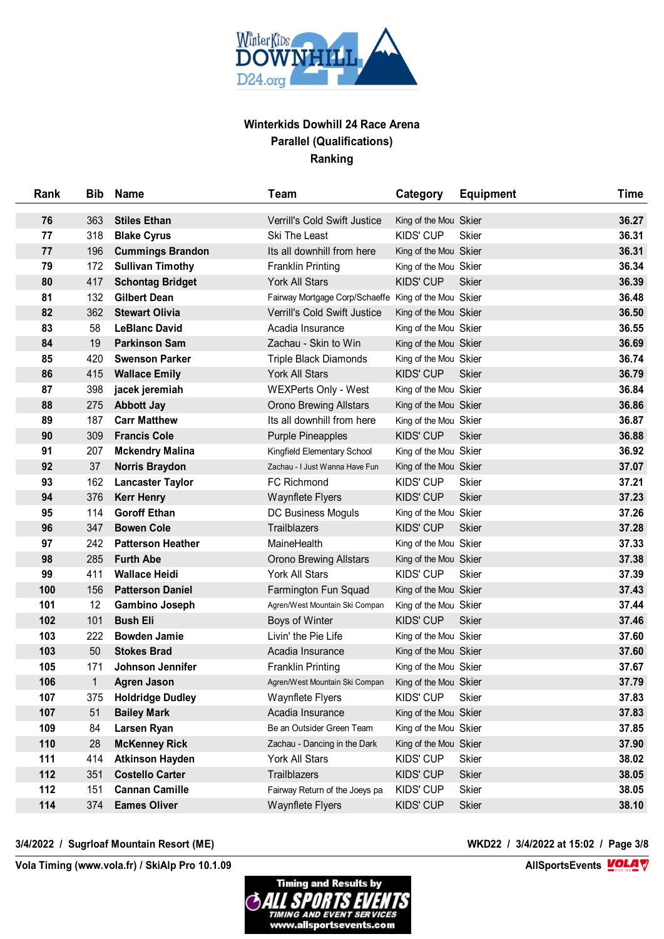

| Rank | <b>Bib</b>   | <b>Name</b>              | Team                                                 | Category              | <b>Equipment</b> | <b>Time</b> |
|------|--------------|--------------------------|------------------------------------------------------|-----------------------|------------------|-------------|
| 76   | 363          | <b>Stiles Ethan</b>      | Verrill's Cold Swift Justice                         | King of the Mou Skier |                  | 36.27       |
| 77   | 318          | <b>Blake Cyrus</b>       | Ski The Least                                        | <b>KIDS' CUP</b>      | <b>Skier</b>     | 36.31       |
| 77   | 196          | <b>Cummings Brandon</b>  | Its all downhill from here                           | King of the Mou Skier |                  | 36.31       |
| 79   | 172          | <b>Sullivan Timothy</b>  | <b>Franklin Printing</b>                             | King of the Mou Skier |                  | 36.34       |
| 80   | 417          | <b>Schontag Bridget</b>  | <b>York All Stars</b>                                | <b>KIDS' CUP</b>      | <b>Skier</b>     | 36.39       |
| 81   | 132          | <b>Gilbert Dean</b>      | Fairway Mortgage Corp/Schaeffe King of the Mou Skier |                       |                  | 36.48       |
| 82   | 362          | <b>Stewart Olivia</b>    | Verrill's Cold Swift Justice                         | King of the Mou Skier |                  | 36.50       |
| 83   | 58           | <b>LeBlanc David</b>     | Acadia Insurance                                     | King of the Mou Skier |                  | 36.55       |
| 84   | 19           | <b>Parkinson Sam</b>     | Zachau - Skin to Win                                 | King of the Mou Skier |                  | 36.69       |
| 85   | 420          | <b>Swenson Parker</b>    | <b>Triple Black Diamonds</b>                         | King of the Mou Skier |                  | 36.74       |
| 86   | 415          | <b>Wallace Emily</b>     | York All Stars                                       | <b>KIDS' CUP</b>      | <b>Skier</b>     | 36.79       |
| 87   | 398          | jacek jeremiah           | <b>WEXPerts Only - West</b>                          | King of the Mou Skier |                  | 36.84       |
| 88   | 275          | <b>Abbott Jay</b>        | <b>Orono Brewing Allstars</b>                        | King of the Mou Skier |                  | 36.86       |
| 89   | 187          | <b>Carr Matthew</b>      | Its all downhill from here                           | King of the Mou Skier |                  | 36.87       |
| 90   | 309          | <b>Francis Cole</b>      | <b>Purple Pineapples</b>                             | <b>KIDS' CUP</b>      | <b>Skier</b>     | 36.88       |
| 91   | 207          | <b>Mckendry Malina</b>   | Kingfield Elementary School                          | King of the Mou Skier |                  | 36.92       |
| 92   | 37           | <b>Norris Braydon</b>    | Zachau - I Just Wanna Have Fun                       | King of the Mou Skier |                  | 37.07       |
| 93   | 162          | <b>Lancaster Taylor</b>  | <b>FC Richmond</b>                                   | <b>KIDS' CUP</b>      | <b>Skier</b>     | 37.21       |
| 94   | 376          | <b>Kerr Henry</b>        | <b>Waynflete Flyers</b>                              | <b>KIDS' CUP</b>      | <b>Skier</b>     | 37.23       |
| 95   | 114          | <b>Goroff Ethan</b>      | DC Business Moguls                                   | King of the Mou Skier |                  | 37.26       |
| 96   | 347          | <b>Bowen Cole</b>        | Trailblazers                                         | <b>KIDS' CUP</b>      | <b>Skier</b>     | 37.28       |
| 97   | 242          | <b>Patterson Heather</b> | MaineHealth                                          | King of the Mou Skier |                  | 37.33       |
| 98   | 285          | <b>Furth Abe</b>         | <b>Orono Brewing Allstars</b>                        | King of the Mou Skier |                  | 37.38       |
| 99   | 411          | <b>Wallace Heidi</b>     | York All Stars                                       | <b>KIDS' CUP</b>      | <b>Skier</b>     | 37.39       |
| 100  | 156          | <b>Patterson Daniel</b>  | Farmington Fun Squad                                 | King of the Mou Skier |                  | 37.43       |
| 101  | 12           | <b>Gambino Joseph</b>    | Agren/West Mountain Ski Compan                       | King of the Mou Skier |                  | 37.44       |
| 102  | 101          | <b>Bush Eli</b>          | Boys of Winter                                       | <b>KIDS' CUP</b>      | <b>Skier</b>     | 37.46       |
| 103  | 222          | <b>Bowden Jamie</b>      | Livin' the Pie Life                                  | King of the Mou Skier |                  | 37.60       |
| 103  | 50           | <b>Stokes Brad</b>       | Acadia Insurance                                     | King of the Mou Skier |                  | 37.60       |
| 105  | 171          | Johnson Jennifer         | <b>Franklin Printing</b>                             | King of the Mou Skier |                  | 37.67       |
| 106  | $\mathbf{1}$ | Agren Jason              | Agren/West Mountain Ski Compan                       | King of the Mou Skier |                  | 37.79       |
| 107  | 375          | <b>Holdridge Dudley</b>  | Waynflete Flyers                                     | <b>KIDS' CUP</b>      | <b>Skier</b>     | 37.83       |
| 107  | 51           | <b>Bailey Mark</b>       | Acadia Insurance                                     | King of the Mou Skier |                  | 37.83       |
| 109  | 84           | Larsen Ryan              | Be an Outsider Green Team                            | King of the Mou Skier |                  | 37.85       |
| 110  | 28           | <b>McKenney Rick</b>     | Zachau - Dancing in the Dark                         | King of the Mou Skier |                  | 37.90       |
| 111  | 414          | <b>Atkinson Hayden</b>   | York All Stars                                       | KIDS' CUP             | Skier            | 38.02       |
| 112  | 351          | <b>Costello Carter</b>   | Trailblazers                                         | <b>KIDS' CUP</b>      | <b>Skier</b>     | 38.05       |
| 112  | 151          | <b>Cannan Camille</b>    | Fairway Return of the Joeys pa                       | <b>KIDS' CUP</b>      | Skier            | 38.05       |
| 114  | 374          | <b>Eames Oliver</b>      | <b>Waynflete Flyers</b>                              | <b>KIDS' CUP</b>      | <b>Skier</b>     | 38.10       |

## **3/4/2022 / Sugrloaf Mountain Resort (ME) WKD22 / 3/4/2022 at 15:02 / Page 3/8**

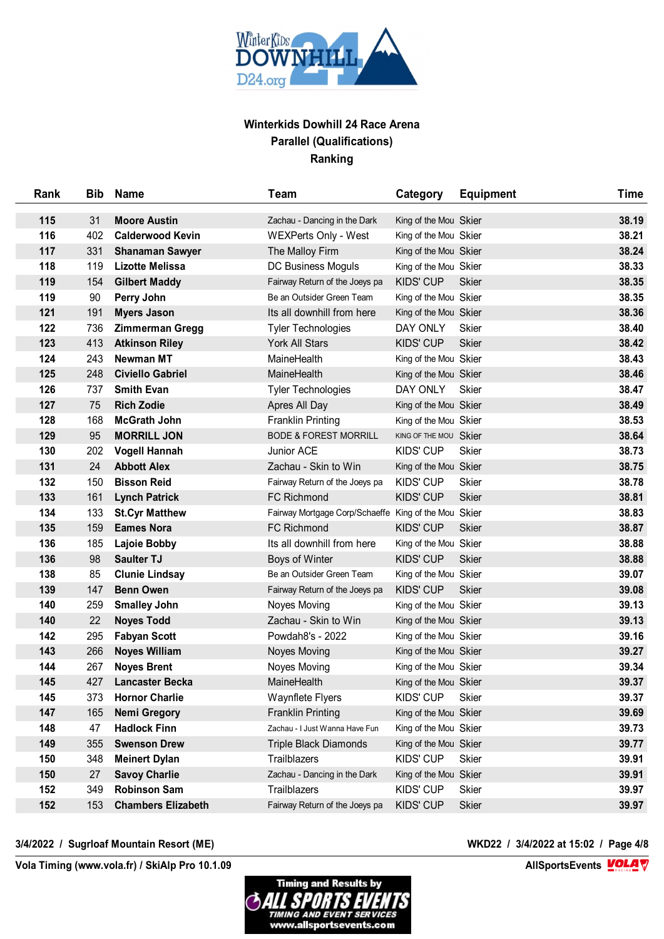

| Rank | <b>Bib</b> | <b>Name</b>               | Team                                                 | Category              | <b>Equipment</b> | <b>Time</b> |
|------|------------|---------------------------|------------------------------------------------------|-----------------------|------------------|-------------|
| 115  | 31         | <b>Moore Austin</b>       | Zachau - Dancing in the Dark                         | King of the Mou Skier |                  | 38.19       |
| 116  | 402        | <b>Calderwood Kevin</b>   | <b>WEXPerts Only - West</b>                          | King of the Mou Skier |                  | 38.21       |
| 117  | 331        | <b>Shanaman Sawyer</b>    | The Malloy Firm                                      | King of the Mou Skier |                  | 38.24       |
| 118  | 119        | <b>Lizotte Melissa</b>    | DC Business Moguls                                   | King of the Mou Skier |                  | 38.33       |
| 119  | 154        | <b>Gilbert Maddy</b>      | Fairway Return of the Joeys pa                       | KIDS' CUP             | <b>Skier</b>     | 38.35       |
| 119  | 90         | Perry John                | Be an Outsider Green Team                            | King of the Mou Skier |                  | 38.35       |
| 121  | 191        | <b>Myers Jason</b>        | Its all downhill from here                           | King of the Mou Skier |                  | 38.36       |
| 122  | 736        | <b>Zimmerman Gregg</b>    | <b>Tyler Technologies</b>                            | DAY ONLY              | <b>Skier</b>     | 38.40       |
| 123  | 413        | <b>Atkinson Riley</b>     | York All Stars                                       | <b>KIDS' CUP</b>      | <b>Skier</b>     | 38.42       |
| 124  | 243        | <b>Newman MT</b>          | MaineHealth                                          | King of the Mou Skier |                  | 38.43       |
| 125  | 248        | <b>Civiello Gabriel</b>   | MaineHealth                                          | King of the Mou Skier |                  | 38.46       |
| 126  | 737        | <b>Smith Evan</b>         | <b>Tyler Technologies</b>                            | DAY ONLY              | <b>Skier</b>     | 38.47       |
| 127  | 75         | <b>Rich Zodie</b>         | Apres All Day                                        | King of the Mou Skier |                  | 38.49       |
| 128  | 168        | <b>McGrath John</b>       | <b>Franklin Printing</b>                             | King of the Mou Skier |                  | 38.53       |
| 129  | 95         | <b>MORRILL JON</b>        | <b>BODE &amp; FOREST MORRILL</b>                     | KING OF THE MOU Skier |                  | 38.64       |
| 130  | 202        | <b>Vogell Hannah</b>      | Junior ACE                                           | <b>KIDS' CUP</b>      | <b>Skier</b>     | 38.73       |
| 131  | 24         | <b>Abbott Alex</b>        | Zachau - Skin to Win                                 | King of the Mou Skier |                  | 38.75       |
| 132  | 150        | <b>Bisson Reid</b>        | Fairway Return of the Joeys pa                       | <b>KIDS' CUP</b>      | <b>Skier</b>     | 38.78       |
| 133  | 161        | <b>Lynch Patrick</b>      | FC Richmond                                          | <b>KIDS' CUP</b>      | <b>Skier</b>     | 38.81       |
| 134  | 133        | <b>St.Cyr Matthew</b>     | Fairway Mortgage Corp/Schaeffe King of the Mou Skier |                       |                  | 38.83       |
| 135  | 159        | <b>Eames Nora</b>         | <b>FC Richmond</b>                                   | <b>KIDS' CUP</b>      | <b>Skier</b>     | 38.87       |
| 136  | 185        | <b>Lajoie Bobby</b>       | Its all downhill from here                           | King of the Mou Skier |                  | 38.88       |
| 136  | 98         | <b>Saulter TJ</b>         | Boys of Winter                                       | <b>KIDS' CUP</b>      | <b>Skier</b>     | 38.88       |
| 138  | 85         | <b>Clunie Lindsay</b>     | Be an Outsider Green Team                            | King of the Mou Skier |                  | 39.07       |
| 139  | 147        | <b>Benn Owen</b>          | Fairway Return of the Joeys pa                       | <b>KIDS' CUP</b>      | <b>Skier</b>     | 39.08       |
| 140  | 259        | <b>Smalley John</b>       | Noyes Moving                                         | King of the Mou Skier |                  | 39.13       |
| 140  | 22         | <b>Noyes Todd</b>         | Zachau - Skin to Win                                 | King of the Mou Skier |                  | 39.13       |
| 142  | 295        | <b>Fabyan Scott</b>       | Powdah8's - 2022                                     | King of the Mou Skier |                  | 39.16       |
| 143  | 266        | <b>Noyes William</b>      | Noyes Moving                                         | King of the Mou Skier |                  | 39.27       |
| 144  | 267        | <b>Noyes Brent</b>        | Noyes Moving                                         | King of the Mou Skier |                  | 39.34       |
| 145  | 427        | <b>Lancaster Becka</b>    | MaineHealth                                          | King of the Mou Skier |                  | 39.37       |
| 145  | 373        | <b>Hornor Charlie</b>     | Waynflete Flyers                                     | KIDS' CUP             | <b>Skier</b>     | 39.37       |
| 147  | 165        | <b>Nemi Gregory</b>       | <b>Franklin Printing</b>                             | King of the Mou Skier |                  | 39.69       |
| 148  | 47         | <b>Hadlock Finn</b>       | Zachau - I Just Wanna Have Fun                       | King of the Mou Skier |                  | 39.73       |
| 149  | 355        | <b>Swenson Drew</b>       | <b>Triple Black Diamonds</b>                         | King of the Mou Skier |                  | 39.77       |
| 150  | 348        | <b>Meinert Dylan</b>      | Trailblazers                                         | KIDS' CUP             | <b>Skier</b>     | 39.91       |
| 150  | 27         | <b>Savoy Charlie</b>      | Zachau - Dancing in the Dark                         | King of the Mou Skier |                  | 39.91       |
| 152  | 349        | <b>Robinson Sam</b>       | <b>Trailblazers</b>                                  | <b>KIDS' CUP</b>      | <b>Skier</b>     | 39.97       |
| 152  | 153        | <b>Chambers Elizabeth</b> | Fairway Return of the Joeys pa                       | <b>KIDS' CUP</b>      | <b>Skier</b>     | 39.97       |
|      |            |                           |                                                      |                       |                  |             |

## **3/4/2022 / Sugrloaf Mountain Resort (ME) WKD22 / 3/4/2022 at 15:02 / Page 4/8**

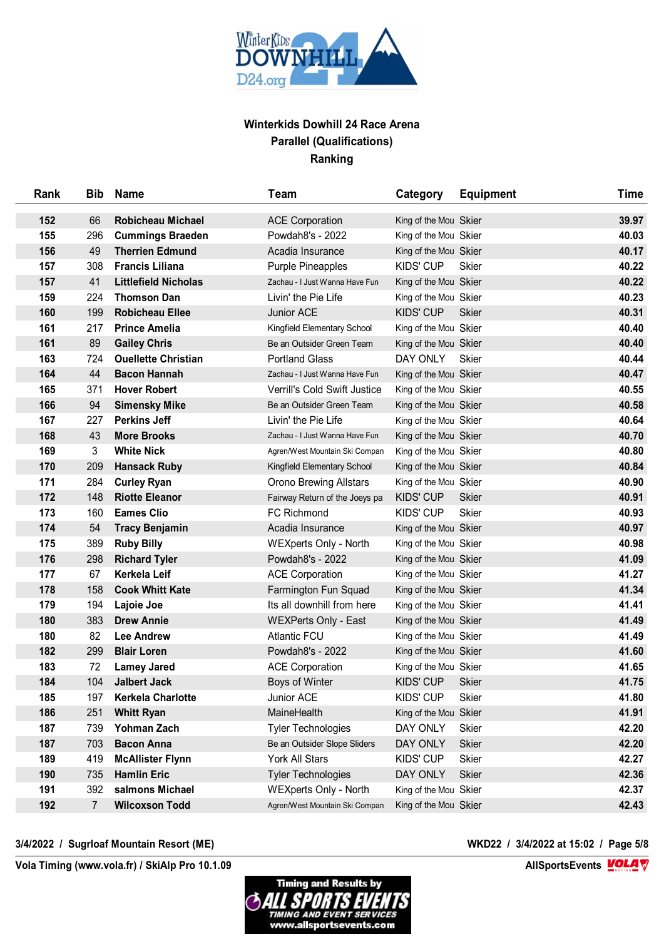

| Rank | <b>Bib</b>     | <b>Name</b>                 | Team                           | Category              | <b>Equipment</b> | <b>Time</b> |
|------|----------------|-----------------------------|--------------------------------|-----------------------|------------------|-------------|
| 152  | 66             | <b>Robicheau Michael</b>    | <b>ACE Corporation</b>         | King of the Mou Skier |                  | 39.97       |
| 155  | 296            | <b>Cummings Braeden</b>     | Powdah8's - 2022               | King of the Mou Skier |                  | 40.03       |
| 156  | 49             | <b>Therrien Edmund</b>      | Acadia Insurance               | King of the Mou Skier |                  | 40.17       |
| 157  | 308            | <b>Francis Liliana</b>      | <b>Purple Pineapples</b>       | <b>KIDS' CUP</b>      | Skier            | 40.22       |
| 157  | 41             | <b>Littlefield Nicholas</b> | Zachau - I Just Wanna Have Fun | King of the Mou Skier |                  | 40.22       |
| 159  | 224            | <b>Thomson Dan</b>          | Livin' the Pie Life            | King of the Mou Skier |                  | 40.23       |
| 160  | 199            | <b>Robicheau Ellee</b>      | Junior ACE                     | <b>KIDS' CUP</b>      | <b>Skier</b>     | 40.31       |
| 161  | 217            | <b>Prince Amelia</b>        | Kingfield Elementary School    | King of the Mou Skier |                  | 40.40       |
| 161  | 89             | <b>Gailey Chris</b>         | Be an Outsider Green Team      | King of the Mou Skier |                  | 40.40       |
| 163  | 724            | <b>Ouellette Christian</b>  | <b>Portland Glass</b>          | DAY ONLY              | Skier            | 40.44       |
| 164  | 44             | <b>Bacon Hannah</b>         | Zachau - I Just Wanna Have Fun | King of the Mou Skier |                  | 40.47       |
| 165  | 371            | <b>Hover Robert</b>         | Verrill's Cold Swift Justice   | King of the Mou Skier |                  | 40.55       |
| 166  | 94             | <b>Simensky Mike</b>        | Be an Outsider Green Team      | King of the Mou Skier |                  | 40.58       |
| 167  | 227            | <b>Perkins Jeff</b>         | Livin' the Pie Life            | King of the Mou Skier |                  | 40.64       |
| 168  | 43             | <b>More Brooks</b>          | Zachau - I Just Wanna Have Fun | King of the Mou Skier |                  | 40.70       |
| 169  | 3              | <b>White Nick</b>           | Agren/West Mountain Ski Compan | King of the Mou Skier |                  | 40.80       |
| 170  | 209            | <b>Hansack Ruby</b>         | Kingfield Elementary School    | King of the Mou Skier |                  | 40.84       |
| 171  | 284            | <b>Curley Ryan</b>          | <b>Orono Brewing Allstars</b>  | King of the Mou Skier |                  | 40.90       |
| 172  | 148            | <b>Riotte Eleanor</b>       | Fairway Return of the Joeys pa | <b>KIDS' CUP</b>      | <b>Skier</b>     | 40.91       |
| 173  | 160            | <b>Eames Clio</b>           | <b>FC Richmond</b>             | <b>KIDS' CUP</b>      | <b>Skier</b>     | 40.93       |
| 174  | 54             | <b>Tracy Benjamin</b>       | Acadia Insurance               | King of the Mou Skier |                  | 40.97       |
| 175  | 389            | <b>Ruby Billy</b>           | <b>WEXperts Only - North</b>   | King of the Mou Skier |                  | 40.98       |
| 176  | 298            | <b>Richard Tyler</b>        | Powdah8's - 2022               | King of the Mou Skier |                  | 41.09       |
| 177  | 67             | Kerkela Leif                | <b>ACE Corporation</b>         | King of the Mou Skier |                  | 41.27       |
| 178  | 158            | <b>Cook Whitt Kate</b>      | Farmington Fun Squad           | King of the Mou Skier |                  | 41.34       |
| 179  | 194            | Lajoie Joe                  | Its all downhill from here     | King of the Mou Skier |                  | 41.41       |
| 180  | 383            | <b>Drew Annie</b>           | <b>WEXPerts Only - East</b>    | King of the Mou Skier |                  | 41.49       |
| 180  | 82             | <b>Lee Andrew</b>           | <b>Atlantic FCU</b>            | King of the Mou Skier |                  | 41.49       |
| 182  | 299            | <b>Blair Loren</b>          | Powdah8's - 2022               | King of the Mou Skier |                  | 41.60       |
| 183  | 72             | <b>Lamey Jared</b>          | <b>ACE Corporation</b>         | King of the Mou Skier |                  | 41.65       |
| 184  | 104            | <b>Jalbert Jack</b>         | Boys of Winter                 | <b>KIDS' CUP</b>      | <b>Skier</b>     | 41.75       |
| 185  | 197            | <b>Kerkela Charlotte</b>    | Junior ACE                     | <b>KIDS' CUP</b>      | <b>Skier</b>     | 41.80       |
| 186  | 251            | <b>Whitt Ryan</b>           | MaineHealth                    | King of the Mou Skier |                  | 41.91       |
| 187  | 739            | Yohman Zach                 | <b>Tyler Technologies</b>      | DAY ONLY              | <b>Skier</b>     | 42.20       |
| 187  | 703            | <b>Bacon Anna</b>           | Be an Outsider Slope Sliders   | <b>DAY ONLY</b>       | <b>Skier</b>     | 42.20       |
| 189  | 419            | <b>McAllister Flynn</b>     | York All Stars                 | KIDS' CUP             | <b>Skier</b>     | 42.27       |
| 190  | 735            | <b>Hamlin Eric</b>          | <b>Tyler Technologies</b>      | DAY ONLY              | <b>Skier</b>     | 42.36       |
| 191  | 392            | salmons Michael             | <b>WEXperts Only - North</b>   | King of the Mou Skier |                  | 42.37       |
| 192  | $\overline{7}$ | <b>Wilcoxson Todd</b>       | Agren/West Mountain Ski Compan | King of the Mou Skier |                  | 42.43       |

## **3/4/2022 / Sugrloaf Mountain Resort (ME) WKD22 / 3/4/2022 at 15:02 / Page 5/8**

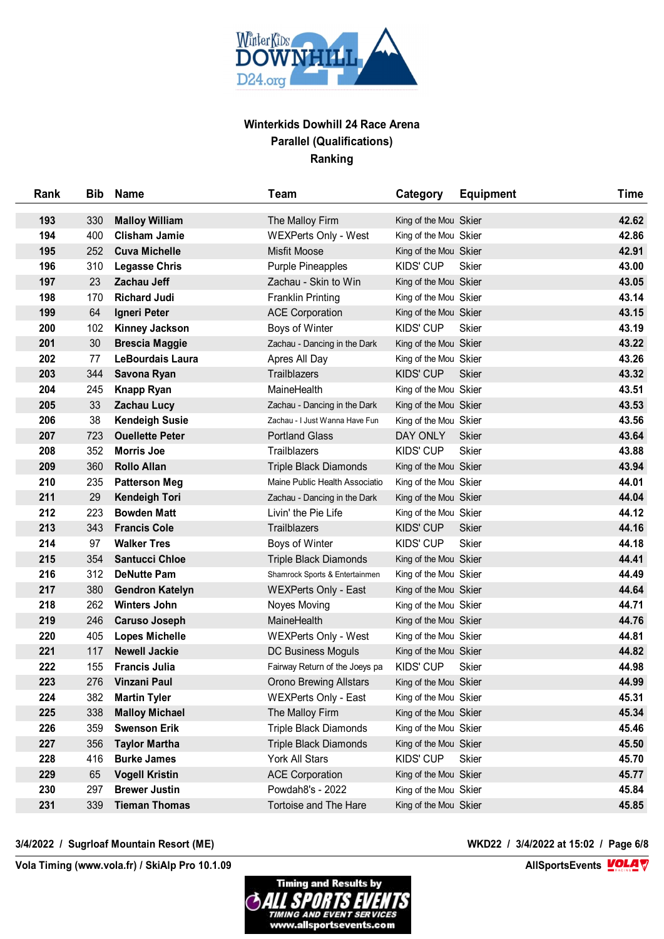

| Rank | <b>Bib</b> | <b>Name</b>             | Team                           | Category              | <b>Equipment</b> | <b>Time</b> |
|------|------------|-------------------------|--------------------------------|-----------------------|------------------|-------------|
| 193  | 330        | <b>Malloy William</b>   | The Malloy Firm                | King of the Mou Skier |                  | 42.62       |
| 194  | 400        | <b>Clisham Jamie</b>    | <b>WEXPerts Only - West</b>    | King of the Mou Skier |                  | 42.86       |
| 195  | 252        | <b>Cuva Michelle</b>    | Misfit Moose                   | King of the Mou Skier |                  | 42.91       |
| 196  | 310        | <b>Legasse Chris</b>    | <b>Purple Pineapples</b>       | KIDS' CUP             | Skier            | 43.00       |
| 197  | 23         | <b>Zachau Jeff</b>      | Zachau - Skin to Win           | King of the Mou Skier |                  | 43.05       |
| 198  | 170        | <b>Richard Judi</b>     | <b>Franklin Printing</b>       | King of the Mou Skier |                  | 43.14       |
| 199  | 64         | Igneri Peter            | <b>ACE Corporation</b>         | King of the Mou Skier |                  | 43.15       |
| 200  | 102        | <b>Kinney Jackson</b>   | Boys of Winter                 | KIDS' CUP             | Skier            | 43.19       |
| 201  | 30         | <b>Brescia Maggie</b>   | Zachau - Dancing in the Dark   | King of the Mou Skier |                  | 43.22       |
| 202  | 77         | <b>LeBourdais Laura</b> | Apres All Day                  | King of the Mou Skier |                  | 43.26       |
| 203  | 344        | Savona Ryan             | <b>Trailblazers</b>            | <b>KIDS' CUP</b>      | <b>Skier</b>     | 43.32       |
| 204  | 245        | <b>Knapp Ryan</b>       | MaineHealth                    | King of the Mou Skier |                  | 43.51       |
| 205  | 33         | <b>Zachau Lucy</b>      | Zachau - Dancing in the Dark   | King of the Mou Skier |                  | 43.53       |
| 206  | 38         | <b>Kendeigh Susie</b>   | Zachau - I Just Wanna Have Fun | King of the Mou Skier |                  | 43.56       |
| 207  | 723        | <b>Ouellette Peter</b>  | <b>Portland Glass</b>          | DAY ONLY              | <b>Skier</b>     | 43.64       |
| 208  | 352        | <b>Morris Joe</b>       | Trailblazers                   | <b>KIDS' CUP</b>      | <b>Skier</b>     | 43.88       |
| 209  | 360        | <b>Rollo Allan</b>      | <b>Triple Black Diamonds</b>   | King of the Mou Skier |                  | 43.94       |
| 210  | 235        | <b>Patterson Meg</b>    | Maine Public Health Associatio | King of the Mou Skier |                  | 44.01       |
| 211  | 29         | <b>Kendeigh Tori</b>    | Zachau - Dancing in the Dark   | King of the Mou Skier |                  | 44.04       |
| 212  | 223        | <b>Bowden Matt</b>      | Livin' the Pie Life            | King of the Mou Skier |                  | 44.12       |
| 213  | 343        | <b>Francis Cole</b>     | <b>Trailblazers</b>            | <b>KIDS' CUP</b>      | <b>Skier</b>     | 44.16       |
| 214  | 97         | <b>Walker Tres</b>      | Boys of Winter                 | KIDS' CUP             | Skier            | 44.18       |
| 215  | 354        | <b>Santucci Chloe</b>   | <b>Triple Black Diamonds</b>   | King of the Mou Skier |                  | 44.41       |
| 216  | 312        | <b>DeNutte Pam</b>      | Shamrock Sports & Entertainmen | King of the Mou Skier |                  | 44.49       |
| 217  | 380        | <b>Gendron Katelyn</b>  | <b>WEXPerts Only - East</b>    | King of the Mou Skier |                  | 44.64       |
| 218  | 262        | <b>Winters John</b>     | Noyes Moving                   | King of the Mou Skier |                  | 44.71       |
| 219  | 246        | <b>Caruso Joseph</b>    | MaineHealth                    | King of the Mou Skier |                  | 44.76       |
| 220  | 405        | <b>Lopes Michelle</b>   | <b>WEXPerts Only - West</b>    | King of the Mou Skier |                  | 44.81       |
| 221  | 117        | <b>Newell Jackie</b>    | DC Business Moguls             | King of the Mou Skier |                  | 44.82       |
| 222  | 155        | <b>Francis Julia</b>    | Fairway Return of the Joeys pa | <b>KIDS' CUP</b>      | Skier            | 44.98       |
| 223  | 276        | Vinzani Paul            | <b>Orono Brewing Allstars</b>  | King of the Mou Skier |                  | 44.99       |
| 224  | 382        | <b>Martin Tyler</b>     | <b>WEXPerts Only - East</b>    | King of the Mou Skier |                  | 45.31       |
| 225  | 338        | <b>Malloy Michael</b>   | The Malloy Firm                | King of the Mou Skier |                  | 45.34       |
| 226  | 359        | <b>Swenson Erik</b>     | <b>Triple Black Diamonds</b>   | King of the Mou Skier |                  | 45.46       |
| 227  | 356        | <b>Taylor Martha</b>    | <b>Triple Black Diamonds</b>   | King of the Mou Skier |                  | 45.50       |
| 228  | 416        | <b>Burke James</b>      | York All Stars                 | <b>KIDS' CUP</b>      | <b>Skier</b>     | 45.70       |
| 229  | 65         | <b>Vogell Kristin</b>   | <b>ACE Corporation</b>         | King of the Mou Skier |                  | 45.77       |
| 230  | 297        | <b>Brewer Justin</b>    | Powdah8's - 2022               | King of the Mou Skier |                  | 45.84       |
| 231  | 339        | <b>Tieman Thomas</b>    | <b>Tortoise and The Hare</b>   | King of the Mou Skier |                  | 45.85       |
|      |            |                         |                                |                       |                  |             |

## **3/4/2022 / Sugrloaf Mountain Resort (ME) WKD22 / 3/4/2022 at 15:02 / Page 6/8**

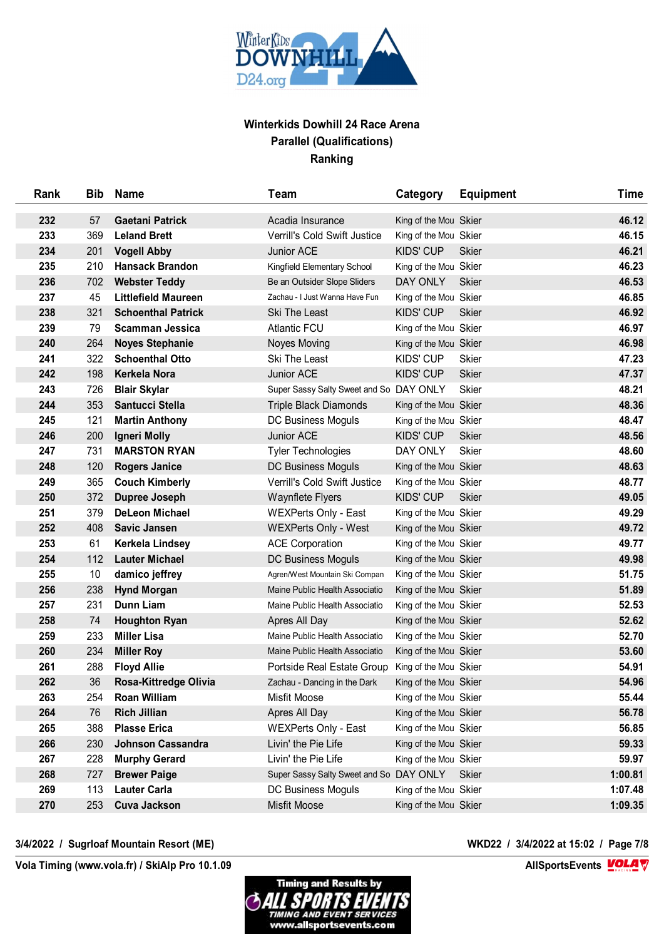

| Rank | <b>Bib</b> | <b>Name</b>                | <b>Team</b>                             | Category              | <b>Equipment</b> | <b>Time</b> |
|------|------------|----------------------------|-----------------------------------------|-----------------------|------------------|-------------|
| 232  | 57         | <b>Gaetani Patrick</b>     | Acadia Insurance                        | King of the Mou Skier |                  | 46.12       |
| 233  | 369        | <b>Leland Brett</b>        | Verrill's Cold Swift Justice            | King of the Mou Skier |                  | 46.15       |
| 234  | 201        | <b>Vogell Abby</b>         | <b>Junior ACE</b>                       | KIDS' CUP             | <b>Skier</b>     | 46.21       |
| 235  | 210        | <b>Hansack Brandon</b>     | Kingfield Elementary School             | King of the Mou Skier |                  | 46.23       |
| 236  | 702        | <b>Webster Teddy</b>       | Be an Outsider Slope Sliders            | DAY ONLY              | <b>Skier</b>     | 46.53       |
| 237  | 45         | <b>Littlefield Maureen</b> | Zachau - I Just Wanna Have Fun          | King of the Mou Skier |                  | 46.85       |
| 238  | 321        | <b>Schoenthal Patrick</b>  | <b>Ski The Least</b>                    | <b>KIDS' CUP</b>      | <b>Skier</b>     | 46.92       |
| 239  | 79         | <b>Scamman Jessica</b>     | <b>Atlantic FCU</b>                     | King of the Mou Skier |                  | 46.97       |
| 240  | 264        | <b>Noyes Stephanie</b>     | Noyes Moving                            | King of the Mou Skier |                  | 46.98       |
| 241  | 322        | <b>Schoenthal Otto</b>     | Ski The Least                           | KIDS' CUP             | <b>Skier</b>     | 47.23       |
| 242  | 198        | Kerkela Nora               | Junior ACE                              | <b>KIDS' CUP</b>      | <b>Skier</b>     | 47.37       |
| 243  | 726        | <b>Blair Skylar</b>        | Super Sassy Salty Sweet and So DAY ONLY |                       | <b>Skier</b>     | 48.21       |
| 244  | 353        | Santucci Stella            | <b>Triple Black Diamonds</b>            | King of the Mou Skier |                  | 48.36       |
| 245  | 121        | <b>Martin Anthony</b>      | DC Business Moguls                      | King of the Mou Skier |                  | 48.47       |
| 246  | 200        | <b>Igneri Molly</b>        | Junior ACE                              | <b>KIDS' CUP</b>      | <b>Skier</b>     | 48.56       |
| 247  | 731        | <b>MARSTON RYAN</b>        | <b>Tyler Technologies</b>               | DAY ONLY              | <b>Skier</b>     | 48.60       |
| 248  | 120        | <b>Rogers Janice</b>       | DC Business Moguls                      | King of the Mou Skier |                  | 48.63       |
| 249  | 365        | <b>Couch Kimberly</b>      | Verrill's Cold Swift Justice            | King of the Mou Skier |                  | 48.77       |
| 250  | 372        | Dupree Joseph              | <b>Waynflete Flyers</b>                 | <b>KIDS' CUP</b>      | <b>Skier</b>     | 49.05       |
| 251  | 379        | <b>DeLeon Michael</b>      | <b>WEXPerts Only - East</b>             | King of the Mou Skier |                  | 49.29       |
| 252  | 408        | <b>Savic Jansen</b>        | <b>WEXPerts Only - West</b>             | King of the Mou Skier |                  | 49.72       |
| 253  | 61         | Kerkela Lindsey            | <b>ACE Corporation</b>                  | King of the Mou Skier |                  | 49.77       |
| 254  | 112        | <b>Lauter Michael</b>      | DC Business Moguls                      | King of the Mou Skier |                  | 49.98       |
| 255  | 10         | damico jeffrey             | Agren/West Mountain Ski Compan          | King of the Mou Skier |                  | 51.75       |
| 256  | 238        | <b>Hynd Morgan</b>         | Maine Public Health Associatio          | King of the Mou Skier |                  | 51.89       |
| 257  | 231        | <b>Dunn Liam</b>           | Maine Public Health Associatio          | King of the Mou Skier |                  | 52.53       |
| 258  | 74         | <b>Houghton Ryan</b>       | Apres All Day                           | King of the Mou Skier |                  | 52.62       |
| 259  | 233        | <b>Miller Lisa</b>         | Maine Public Health Associatio          | King of the Mou Skier |                  | 52.70       |
| 260  | 234        | <b>Miller Roy</b>          | Maine Public Health Associatio          | King of the Mou Skier |                  | 53.60       |
| 261  | 288        | <b>Floyd Allie</b>         | Portside Real Estate Group              | King of the Mou Skier |                  | 54.91       |
| 262  | 36         | Rosa-Kittredge Olivia      | Zachau - Dancing in the Dark            | King of the Mou Skier |                  | 54.96       |
| 263  | 254        | Roan William               | Misfit Moose                            | King of the Mou Skier |                  | 55.44       |
| 264  | 76         | <b>Rich Jillian</b>        | Apres All Day                           | King of the Mou Skier |                  | 56.78       |
| 265  | 388        | <b>Plasse Erica</b>        | <b>WEXPerts Only - East</b>             | King of the Mou Skier |                  | 56.85       |
| 266  | 230        | <b>Johnson Cassandra</b>   | Livin' the Pie Life                     | King of the Mou Skier |                  | 59.33       |
| 267  | 228        | <b>Murphy Gerard</b>       | Livin' the Pie Life                     | King of the Mou Skier |                  | 59.97       |
| 268  | 727        | <b>Brewer Paige</b>        | Super Sassy Salty Sweet and So DAY ONLY |                       | <b>Skier</b>     | 1:00.81     |
| 269  | 113        | <b>Lauter Carla</b>        | DC Business Moguls                      | King of the Mou Skier |                  | 1:07.48     |
| 270  | 253        | <b>Cuva Jackson</b>        | Misfit Moose                            | King of the Mou Skier |                  | 1:09.35     |
|      |            |                            |                                         |                       |                  |             |

## **3/4/2022 / Sugrloaf Mountain Resort (ME) WKD22 / 3/4/2022 at 15:02 / Page 7/8**